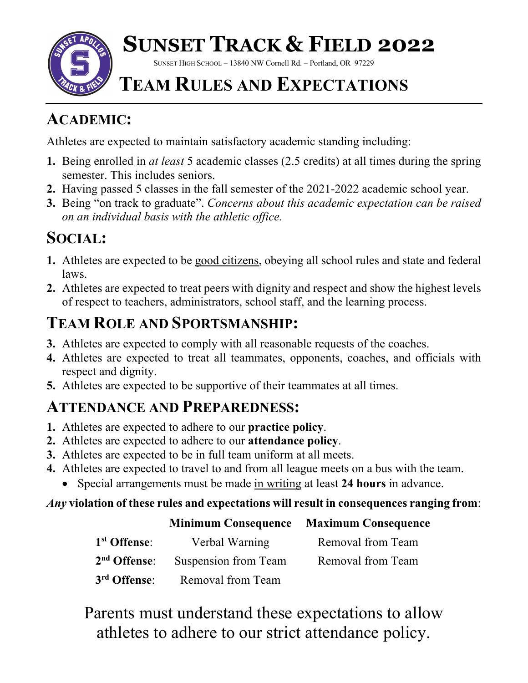

# **SUNSET TRACK & FIELD 2022**

SUNSET HIGH SCHOOL – 13840 NW Cornell Rd. – Portland, OR 97229

### **TEAM RULES AND EXPECTATIONS**

#### **ACADEMIC:**

Athletes are expected to maintain satisfactory academic standing including:

- **1.** Being enrolled in *at least* 5 academic classes (2.5 credits) at all times during the spring semester. This includes seniors.
- **2.** Having passed 5 classes in the fall semester of the 2021-2022 academic school year.
- **3.** Being "on track to graduate". *Concerns about this academic expectation can be raised on an individual basis with the athletic office.*

### **SOCIAL:**

- **1.** Athletes are expected to be good citizens, obeying all school rules and state and federal laws.
- **2.** Athletes are expected to treat peers with dignity and respect and show the highest levels of respect to teachers, administrators, school staff, and the learning process.

### **TEAM ROLE AND SPORTSMANSHIP:**

- **3.** Athletes are expected to comply with all reasonable requests of the coaches.
- **4.** Athletes are expected to treat all teammates, opponents, coaches, and officials with respect and dignity.
- **5.** Athletes are expected to be supportive of their teammates at all times.

#### **ATTENDANCE AND PREPAREDNESS:**

- **1.** Athletes are expected to adhere to our **practice policy**.
- **2.** Athletes are expected to adhere to our **attendance policy**.
- **3.** Athletes are expected to be in full team uniform at all meets.
- **4.** Athletes are expected to travel to and from all league meets on a bus with the team.
	- Special arrangements must be made in writing at least **24 hours** in advance.

#### *Any* **violation of these rules and expectations will result in consequences ranging from**:

#### **Minimum Consequence Maximum Consequence**

| 1 <sup>st</sup> Offense: | Verbal Warning                                | Removal from Team |
|--------------------------|-----------------------------------------------|-------------------|
|                          | 2 <sup>nd</sup> Offense: Suspension from Team | Removal from Team |
|                          | 3 <sup>rd</sup> Offense: Removal from Team    |                   |

Parents must understand these expectations to allow athletes to adhere to our strict attendance policy.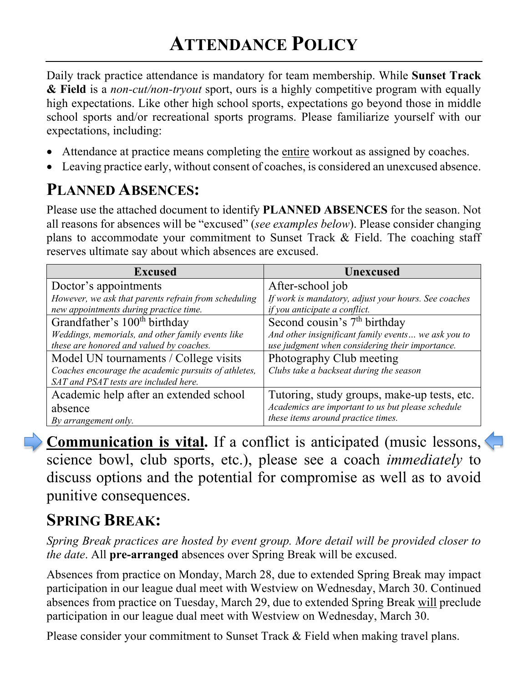Daily track practice attendance is mandatory for team membership. While **Sunset Track & Field** is a *non-cut/non-tryout* sport, ours is a highly competitive program with equally high expectations. Like other high school sports, expectations go beyond those in middle school sports and/or recreational sports programs. Please familiarize yourself with our expectations, including:

- Attendance at practice means completing the entire workout as assigned by coaches.
- Leaving practice early, without consent of coaches, is considered an unexcused absence.

#### **PLANNED ABSENCES:**

Please use the attached document to identify **PLANNED ABSENCES** for the season. Not all reasons for absences will be "excused" (*see examples below*). Please consider changing plans to accommodate your commitment to Sunset Track & Field. The coaching staff reserves ultimate say about which absences are excused.

| <b>Excused</b>                                       | <b>Unexcused</b>                                     |
|------------------------------------------------------|------------------------------------------------------|
| Doctor's appointments                                | After-school job                                     |
| However, we ask that parents refrain from scheduling | If work is mandatory, adjust your hours. See coaches |
| new appointments during practice time.               | if you anticipate a conflict.                        |
| Grandfather's 100 <sup>th</sup> birthday             | Second cousin's 7 <sup>th</sup> birthday             |
| Weddings, memorials, and other family events like    | And other insignificant family events we ask you to  |
| these are honored and valued by coaches.             | use judgment when considering their importance.      |
| Model UN tournaments / College visits                | Photography Club meeting                             |
| Coaches encourage the academic pursuits of athletes, | Clubs take a backseat during the season              |
| SAT and PSAT tests are included here.                |                                                      |
| Academic help after an extended school               | Tutoring, study groups, make-up tests, etc.          |
| absence                                              | Academics are important to us but please schedule    |
| By arrangement only.                                 | these items around practice times.                   |

**Communication is vital.** If a conflict is anticipated (music lessons, science bowl, club sports, etc.), please see a coach *immediately* to discuss options and the potential for compromise as well as to avoid punitive consequences.

#### **SPRING BREAK:**

*Spring Break practices are hosted by event group. More detail will be provided closer to the date*. All **pre-arranged** absences over Spring Break will be excused.

Absences from practice on Monday, March 28, due to extended Spring Break may impact participation in our league dual meet with Westview on Wednesday, March 30. Continued absences from practice on Tuesday, March 29, due to extended Spring Break will preclude participation in our league dual meet with Westview on Wednesday, March 30.

Please consider your commitment to Sunset Track & Field when making travel plans.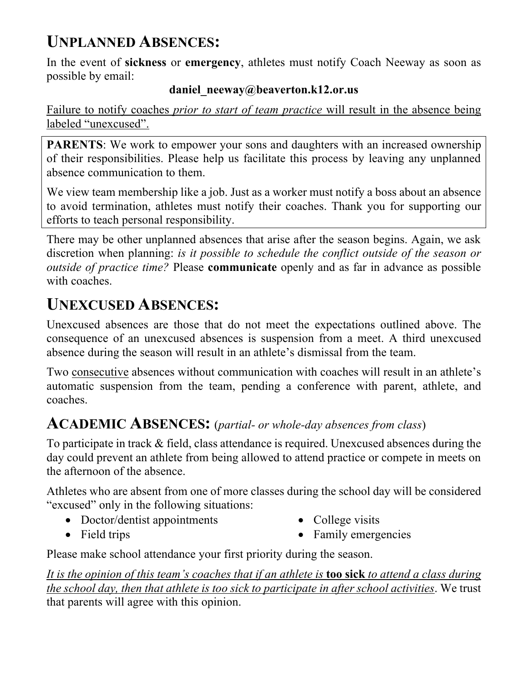#### **UNPLANNED ABSENCES:**

In the event of **sickness** or **emergency**, athletes must notify Coach Neeway as soon as possible by email:

#### **daniel\_neeway@beaverton.k12.or.us**

Failure to notify coaches *prior to start of team practice* will result in the absence being labeled "unexcused".

**PARENTS**: We work to empower your sons and daughters with an increased ownership of their responsibilities. Please help us facilitate this process by leaving any unplanned absence communication to them.

We view team membership like a job. Just as a worker must notify a boss about an absence to avoid termination, athletes must notify their coaches. Thank you for supporting our efforts to teach personal responsibility.

There may be other unplanned absences that arise after the season begins. Again, we ask discretion when planning: *is it possible to schedule the conflict outside of the season or outside of practice time?* Please **communicate** openly and as far in advance as possible with coaches.

#### **UNEXCUSED ABSENCES:**

Unexcused absences are those that do not meet the expectations outlined above. The consequence of an unexcused absences is suspension from a meet. A third unexcused absence during the season will result in an athlete's dismissal from the team.

Two consecutive absences without communication with coaches will result in an athlete's automatic suspension from the team, pending a conference with parent, athlete, and coaches.

#### **ACADEMIC ABSENCES:** (*partial- or whole-day absences from class*)

To participate in track & field, class attendance is required. Unexcused absences during the day could prevent an athlete from being allowed to attend practice or compete in meets on the afternoon of the absence.

Athletes who are absent from one of more classes during the school day will be considered "excused" only in the following situations:

- Doctor/dentist appointments
- Field trips
- College visits
- Family emergencies

Please make school attendance your first priority during the season.

*It is the opinion of this team's coaches that if an athlete is* **too sick** *to attend a class during the school day, then that athlete is too sick to participate in after school activities*. We trust that parents will agree with this opinion.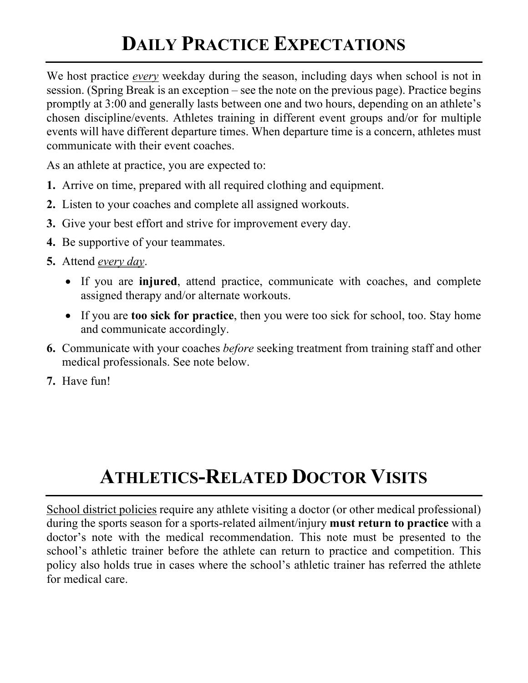# **DAILY PRACTICE EXPECTATIONS**

We host practice *every* weekday during the season, including days when school is not in session. (Spring Break is an exception – see the note on the previous page). Practice begins promptly at 3:00 and generally lasts between one and two hours, depending on an athlete's chosen discipline/events. Athletes training in different event groups and/or for multiple events will have different departure times. When departure time is a concern, athletes must communicate with their event coaches.

As an athlete at practice, you are expected to:

- **1.** Arrive on time, prepared with all required clothing and equipment.
- **2.** Listen to your coaches and complete all assigned workouts.
- **3.** Give your best effort and strive for improvement every day.
- **4.** Be supportive of your teammates.
- **5.** Attend *every day*.
	- If you are **injured**, attend practice, communicate with coaches, and complete assigned therapy and/or alternate workouts.
	- If you are **too sick for practice**, then you were too sick for school, too. Stay home and communicate accordingly.
- **6.** Communicate with your coaches *before* seeking treatment from training staff and other medical professionals. See note below.
- **7.** Have fun!

# **ATHLETICS-RELATED DOCTOR VISITS**

School district policies require any athlete visiting a doctor (or other medical professional) during the sports season for a sports-related ailment/injury **must return to practice** with a doctor's note with the medical recommendation. This note must be presented to the school's athletic trainer before the athlete can return to practice and competition. This policy also holds true in cases where the school's athletic trainer has referred the athlete for medical care.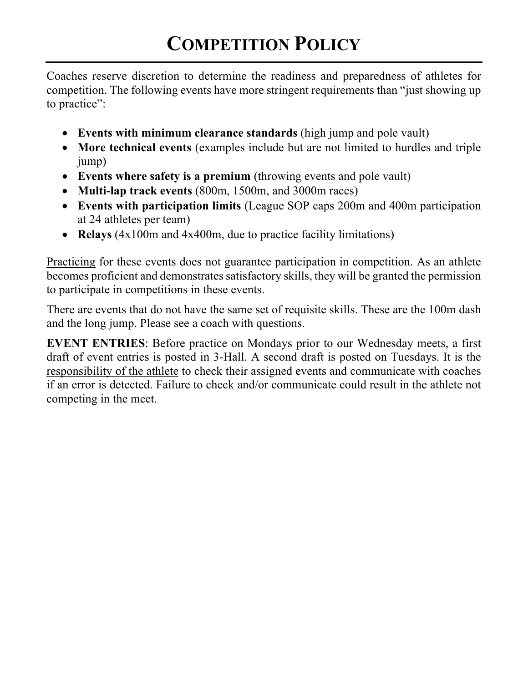Coaches reserve discretion to determine the readiness and preparedness of athletes for competition. The following events have more stringent requirements than "just showing up to practice":

- **Events with minimum clearance standards** (high jump and pole vault)
- **More technical events** (examples include but are not limited to hurdles and triple jump)
- **Events where safety is a premium** (throwing events and pole vault)
- **Multi-lap track events** (800m, 1500m, and 3000m races)
- **Events with participation limits** (League SOP caps 200m and 400m participation at 24 athletes per team)
- **Relays** (4x100m and 4x400m, due to practice facility limitations)

Practicing for these events does not guarantee participation in competition. As an athlete becomes proficient and demonstrates satisfactory skills, they will be granted the permission to participate in competitions in these events.

There are events that do not have the same set of requisite skills. These are the 100m dash and the long jump. Please see a coach with questions.

**EVENT ENTRIES**: Before practice on Mondays prior to our Wednesday meets, a first draft of event entries is posted in 3-Hall. A second draft is posted on Tuesdays. It is the responsibility of the athlete to check their assigned events and communicate with coaches if an error is detected. Failure to check and/or communicate could result in the athlete not competing in the meet.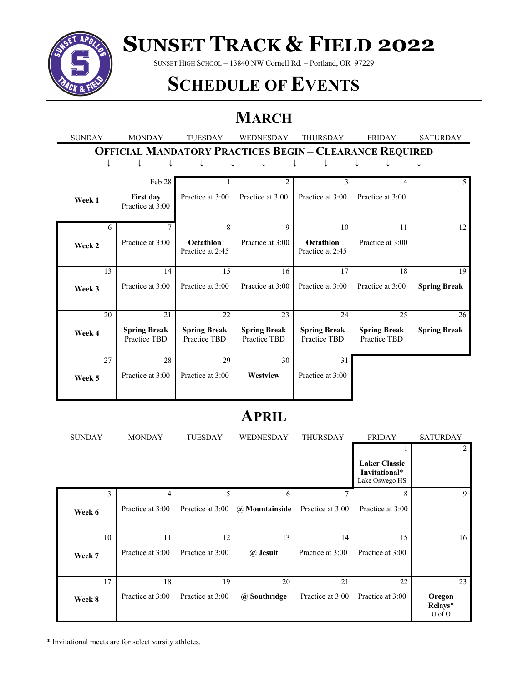

# **SUNSET TRACK & FIELD 2022**

SUNSET HIGH SCHOOL – 13840 NW Cornell Rd. – Portland, OR 97229

### **SCHEDULE OF EVENTS**

### **MARCH**

| <b>SUNDAY</b>                                                  | <b>MONDAY</b>                        | <b>TUESDAY</b>                      | <b>WEDNESDAY</b>                    | <b>THURSDAY</b>                     | <b>FRIDAY</b>                       | <b>SATURDAY</b>     |
|----------------------------------------------------------------|--------------------------------------|-------------------------------------|-------------------------------------|-------------------------------------|-------------------------------------|---------------------|
| <b>OFFICIAL MANDATORY PRACTICES BEGIN - CLEARANCE REQUIRED</b> |                                      |                                     |                                     |                                     |                                     |                     |
|                                                                |                                      |                                     |                                     |                                     |                                     |                     |
|                                                                | Feb 28                               |                                     | 2                                   | 3                                   | 4                                   | $\overline{5}$      |
| Week 1                                                         | <b>First day</b><br>Practice at 3:00 | Practice at 3:00                    | Practice at 3:00                    | Practice at 3:00                    | Practice at 3:00                    |                     |
| 6                                                              | 7                                    | 8                                   | 9                                   | 10                                  | 11                                  | 12                  |
| Week 2                                                         | Practice at 3:00                     | Octathlon<br>Practice at 2:45       | Practice at 3:00                    | Octathlon<br>Practice at 2:45       | Practice at 3:00                    |                     |
| 13                                                             | 14                                   | 15                                  | 16                                  | 17                                  | 18                                  | 19                  |
| Week 3                                                         | Practice at 3:00                     | Practice at 3:00                    | Practice at 3:00                    | Practice at 3:00                    | Practice at 3:00                    | <b>Spring Break</b> |
| 20                                                             | 21                                   | 22                                  | 23                                  | 24                                  | 25                                  | 26                  |
| Week 4                                                         | <b>Spring Break</b><br>Practice TBD  | <b>Spring Break</b><br>Practice TBD | <b>Spring Break</b><br>Practice TBD | <b>Spring Break</b><br>Practice TBD | <b>Spring Break</b><br>Practice TBD | <b>Spring Break</b> |
| 27                                                             | 28                                   | 29                                  | 30                                  | 31                                  |                                     |                     |
| Week 5                                                         | Practice at 3:00                     | Practice at 3:00                    | Westview                            | Practice at 3:00                    |                                     |                     |

#### **APRIL**

| <b>SUNDAY</b> | <b>MONDAY</b>    | <b>TUESDAY</b>   | WEDNESDAY      | <b>THURSDAY</b>  | <b>FRIDAY</b>                                           | <b>SATURDAY</b>             |
|---------------|------------------|------------------|----------------|------------------|---------------------------------------------------------|-----------------------------|
|               |                  |                  |                |                  |                                                         | 2                           |
|               |                  |                  |                |                  | <b>Laker Classic</b><br>Invitational*<br>Lake Oswego HS |                             |
| 3             | 4                | 5                | 6              | 7                | 8                                                       | 9                           |
| Week 6        | Practice at 3:00 | Practice at 3:00 | @ Mountainside | Practice at 3:00 | Practice at 3:00                                        |                             |
|               |                  |                  |                |                  |                                                         |                             |
| 10            | 11               | 12               | 13             | 14               | 15                                                      | 16                          |
| Week 7        | Practice at 3:00 | Practice at 3:00 | @ Jesuit       | Practice at 3:00 | Practice at 3:00                                        |                             |
|               |                  |                  |                |                  |                                                         |                             |
| 17            | 18               | 19               | 20             | 21               | 22                                                      | 23                          |
| Week 8        | Practice at 3:00 | Practice at 3:00 | @ Southridge   | Practice at 3:00 | Practice at 3:00                                        | Oregon<br>Relays*<br>U of O |

\* Invitational meets are for select varsity athletes.